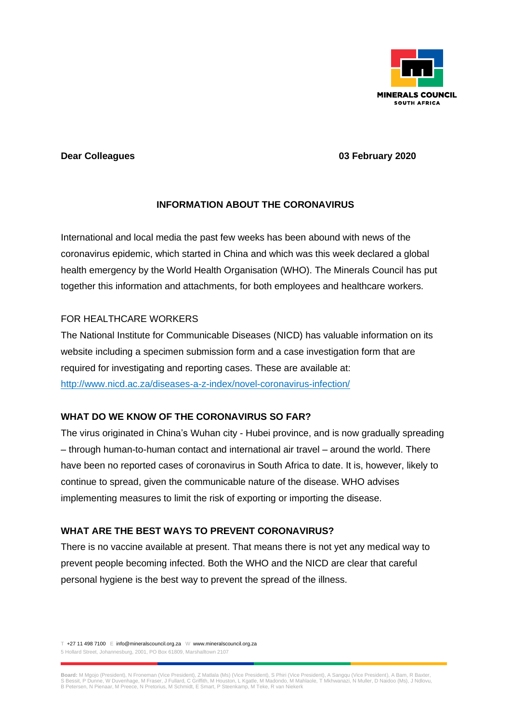

#### **Dear Colleagues 03 February 2020**

# **INFORMATION ABOUT THE CORONAVIRUS**

International and local media the past few weeks has been abound with news of the coronavirus epidemic, which started in China and which was this week declared a global health emergency by the World Health Organisation (WHO). The Minerals Council has put together this information and attachments, for both employees and healthcare workers.

## FOR HEALTHCARE WORKERS

The National Institute for Communicable Diseases (NICD) has valuable information on its website including a specimen submission form and a case investigation form that are required for investigating and reporting cases. These are available at: <http://www.nicd.ac.za/diseases-a-z-index/novel-coronavirus-infection/>

## **WHAT DO WE KNOW OF THE CORONAVIRUS SO FAR?**

The virus originated in China's Wuhan city - Hubei province, and is now gradually spreading – through human-to-human contact and international air travel – around the world. There have been no reported cases of coronavirus in South Africa to date. It is, however, likely to continue to spread, given the communicable nature of the disease. WHO advises implementing measures to limit the risk of exporting or importing the disease.

## **WHAT ARE THE BEST WAYS TO PREVENT CORONAVIRUS?**

There is no vaccine available at present. That means there is not yet any medical way to prevent people becoming infected. Both the WHO and the NICD are clear that careful personal hygiene is the best way to prevent the spread of the illness.

T +27 11 498 7100 E info@mineralscouncil.org.za W www.mineralscouncil.org.za 5 Hollard Street, Johannesburg, 2001, PO Box 61809, Marshalltown 2107

Board: M Mgojo (President), N Froneman (Vice President), Z Mattala (Ms) (Vice President), S Phiri (Vice President), A Samgqu (Vice President), A Bam, R Baxter,<br>S Bessit, P Dunne, W Duvenhage, M Fraser, J Fullard, C Griffit